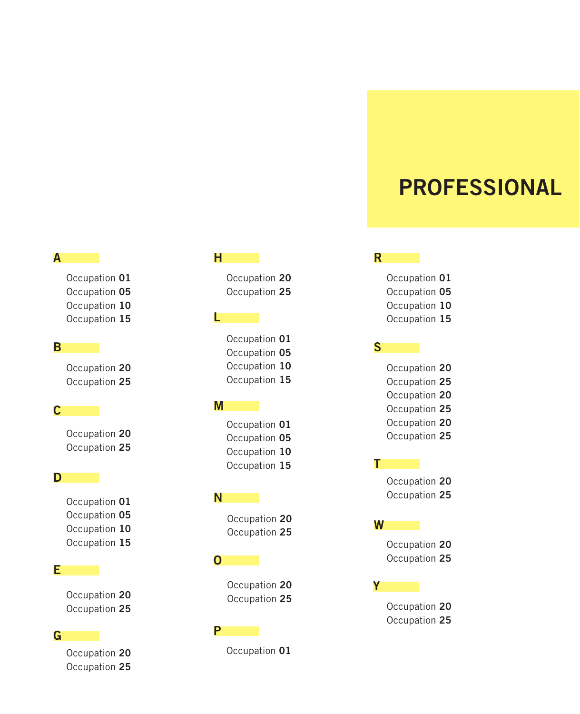## PROFESSIONAL

## A A<br>B

Occupation 01 Occupation 05 Occupation 10 Occupation 15

#### B

Occupation 20 Occupation 25

#### C

Occupation 20 Occupation 25

#### D

Occupation 01 Occupation 05 Occupation 10 Occupation 15

#### E

Occupation 20 Occupation 25

#### G

Occupation 20 Occupation 25

#### H

Occupation 20 Occupation 25

#### L

Occupation 01 Occupation 05 Occupation 10 Occupation 15

#### M

Occupation 01 Occupation 05 Occupation 10 Occupation 15

#### N

Occupation 20 Occupation 25

#### O

Occupation 20 Occupation 25

#### P

Occupation 01

#### R

Occupation 01 Occupation 05 Occupation 10 Occupation 15

# S S<br>T

Occupation 20 Occupation 25 Occupation 20 Occupation 25 Occupation 20 Occupation 25

Occupation 20 Occupation 25

#### W

T

Occupation 20 Occupation 25

#### Y

Occupation 20 Occupation 25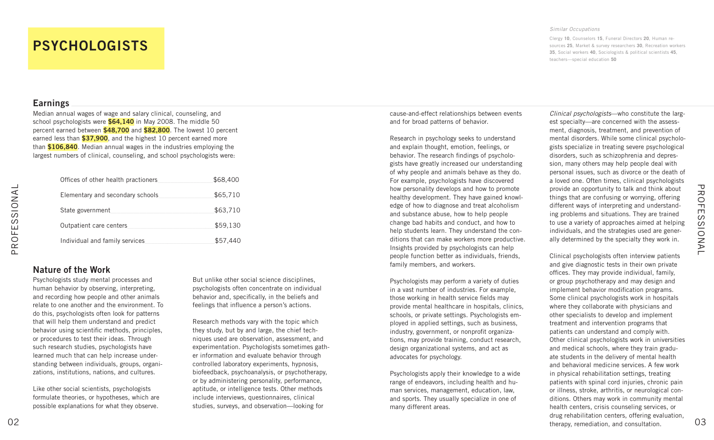#### *Similar Occupations*

Clergy **10**, Counselors **15**, Funeral Directors **20**, Human resources **25**, Market & survey researchers **30**, Recreation workers **35**, Social workers **40**, Sociologists & political scientists **45**, teachers—special education **50**

#### Earnings

Median annual wages of wage and salary clinical, counseling, and school psychologists were  $$64,140$  in May 2008. The middle 50 percent earned between \$48,700 and \$82,800. The lowest 10 percent earned less than \$37,900, and the highest 10 percent earned more than \$106,840. Median annual wages in the industries employing the largest numbers of clinical, counseling, and school psychologists were:

| Offices of other health practioners | \$68,400 |
|-------------------------------------|----------|
| Elementary and secondary schools    | \$65,710 |
| State government                    | \$63,710 |
| Outpatient care centers             | \$59,130 |
| Individual and family services      | \$57,440 |

#### Nature of the Work

Psychologists study mental processes and human behavior by observing, interpreting, and recording how people and other animals relate to one another and the environment. To do this, psychologists often look for patterns that will help them understand and predict behavior using scientific methods, principles, or procedures to test their ideas. Through such research studies, psychologists have learned much that can help increase understanding between individuals, groups, organizations, institutions, nations, and cultures.

Like other social scientists, psychologists formulate theories, or hypotheses, which are possible explanations for what they observe.

But unlike other social science disciplines, psychologists often concentrate on individual behavior and, specifically, in the beliefs and feelings that influence a person's actions.

Research methods vary with the topic which they study, but by and large, the chief techniques used are observation, assessment, and experimentation. Psychologists sometimes gather information and evaluate behavior through controlled laboratory experiments, hypnosis, biofeedback, psychoanalysis, or psychotherapy, or by administering personality, performance, aptitude, or intelligence tests. Other methods include interviews, questionnaires, clinical studies, surveys, and observation—looking for

cause-and-effect relationships between events and for broad patterns of behavior.

Research in psychology seeks to understand and explain thought, emotion, feelings, or behavior. The research findings of psychologists have greatly increased our understanding of why people and animals behave as they do. For example, psychologists have discovered how personality develops and how to promote healthy development. They have gained knowledge of how to diagnose and treat alcoholism and substance abuse, how to help people change bad habits and conduct, and how to help students learn. They understand the conditions that can make workers more productive. Insights provided by psychologists can help people function better as individuals, friends, family members, and workers.

Psychologists may perform a variety of duties in a vast number of industries. For example, those working in health service fields may provide mental healthcare in hospitals, clinics, schools, or private settings. Psychologists employed in applied settings, such as business, industry, government, or nonprofit organizations, may provide training, conduct research, design organizational systems, and act as advocates for psychology.

Psychologists apply their knowledge to a wide range of endeavors, including health and human services, management, education, law, and sports. They usually specialize in one of many different areas.

*Clinical psychologists*—who constitute the largest specialty—are concerned with the assessment, diagnosis, treatment, and prevention of mental disorders. While some clinical psychologists specialize in treating severe psychological disorders, such as schizophrenia and depression, many others may help people deal with personal issues, such as divorce or the death of a loved one. Often times, clinical psychologists provide an opportunity to talk and think about things that are confusing or worrying, offering different ways of interpreting and understanding problems and situations. They are trained to use a variety of approaches aimed at helping individuals, and the strategies used are generally determined by the specialty they work in.

02 therapy, remediation, and consultation. CO Clinical psychologists often interview patients and give diagnostic tests in their own private offices. They may provide individual, family, or group psychotherapy and may design and implement behavior modification programs. Some clinical psychologists work in hospitals where they collaborate with physicians and other specialists to develop and implement treatment and intervention programs that patients can understand and comply with. Other clinical psychologists work in universities and medical schools, where they train graduate students in the delivery of mental health and behavioral medicine services. A few work in physical rehabilitation settings, treating patients with spinal cord injuries, chronic pain or illness, stroke, arthritis, or neurological conditions. Others may work in community mental health centers, crisis counseling services, or drug rehabilitation centers, offering evaluation,

PROFESSIONAL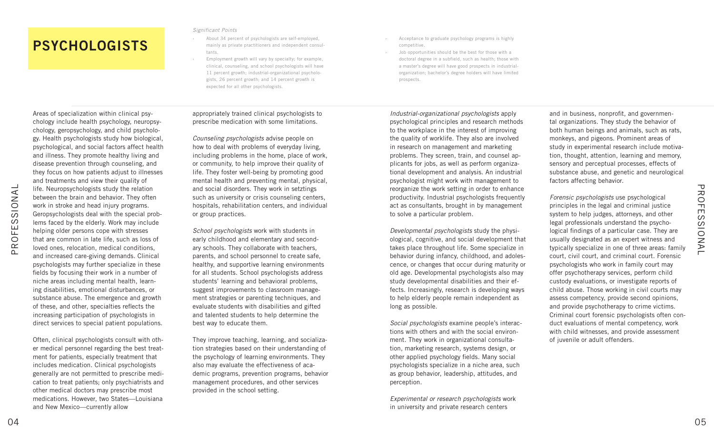#### *Significant Points*

- About 34 percent of psychologists are self-employed, mainly as private practitioners and independent consultants.
- › Employment growth will vary by specialty; for example, clinical, counseling, and school psychologists will have 11 percent growth; industrial-organizational psychologists, 26 percent growth; and 14 percent growth is expected for all other psychologists.
- › Acceptance to graduate psychology programs is highly competitive.
- › Job opportunities should be the best for those with a doctoral degree in a subfield, such as health; those with a master's degree will have good prospects in industrialorganization; bachelor's degree holders will have limited prospects.

Areas of specialization within clinical psychology include health psychology, neuropsychology, geropsychology, and child psychology. Health psychologists study how biological, psychological, and social factors affect health and illness. They promote healthy living and disease prevention through counseling, and they focus on how patients adjust to illnesses and treatments and view their quality of life. Neuropsychologists study the relation between the brain and behavior. They often work in stroke and head injury programs. Geropsychologists deal with the special problems faced by the elderly. Work may include helping older persons cope with stresses that are common in late life, such as loss of loved ones, relocation, medical conditions, and increased care-giving demands. Clinical psychologists may further specialize in these fields by focusing their work in a number of niche areas including mental health, learning disabilities, emotional disturbances, or substance abuse. The emergence and growth of these, and other, specialties reflects the

PROFESSIONAL PROFESSIONAL

increasing participation of psychologists in direct services to special patient populations.

Often, clinical psychologists consult with other medical personnel regarding the best treatment for patients, especially treatment that includes medication. Clinical psychologists generally are not permitted to prescribe medication to treat patients; only psychiatrists and other medical doctors may prescribe most medications. However, two States—Louisiana and New Mexico—currently allow

appropriately trained clinical psychologists to prescribe medication with some limitations.

*Counseling psychologists* advise people on how to deal with problems of everyday living, including problems in the home, place of work, or community, to help improve their quality of life. They foster well-being by promoting good mental health and preventing mental, physical, and social disorders. They work in setztings such as university or crisis counseling centers, hospitals, rehabilitation centers, and individual or group practices.

*School psychologists* work with students in early childhood and elementary and secondary schools. They collaborate with teachers, parents, and school personnel to create safe, healthy, and supportive learning environments for all students. School psychologists address students' learning and behavioral problems, suggest improvements to classroom management strategies or parenting techniques, and evaluate students with disabilities and gifted and talented students to help determine the best way to educate them.

They improve teaching, learning, and socialization strategies based on their understanding of the psychology of learning environments. They also may evaluate the effectiveness of academic programs, prevention programs, behavior management procedures, and other services provided in the school setting.

*Industrial-organizational psychologists* apply psychological principles and research methods to the workplace in the interest of improving the quality of worklife. They also are involved in research on management and marketing problems. They screen, train, and counsel applicants for jobs, as well as perform organizational development and analysis. An industrial psychologist might work with management to reorganize the work setting in order to enhance productivity. Industrial psychologists frequently act as consultants, brought in by management to solve a particular problem.

*Developmental psychologists* study the physiological, cognitive, and social development that takes place throughout life. Some specialize in behavior during infancy, childhood, and adolescence, or changes that occur during maturity or old age. Developmental psychologists also may study developmental disabilities and their effects. Increasingly, research is developing ways to help elderly people remain independent as long as possible.

*Social psychologists* examine people's interactions with others and with the social environment. They work in organizational consultation, marketing research, systems design, or other applied psychology fields. Many social psychologists specialize in a niche area, such as group behavior, leadership, attitudes, and perception.

*Experimental or research psychologists* work in university and private research centers

and in business, nonprofit, and governmental organizations. They study the behavior of both human beings and animals, such as rats, monkeys, and pigeons. Prominent areas of study in experimental research include motivation, thought, attention, learning and memory, sensory and perceptual processes, effects of substance abuse, and genetic and neurological factors affecting behavior.

*Forensic psychologists* use psychological principles in the legal and criminal justice system to help judges, attorneys, and other legal professionals understand the psychological findings of a particular case. They are usually designated as an expert witness and typically specialize in one of three areas: family court, civil court, and criminal court. Forensic psychologists who work in family court may offer psychotherapy services, perform child custody evaluations, or investigate reports of child abuse. Those working in civil courts may assess competency, provide second opinions, and provide psychotherapy to crime victims. Criminal court forensic psychologists often conduct evaluations of mental competency, work with child witnesses, and provide assessment of juvenile or adult offenders.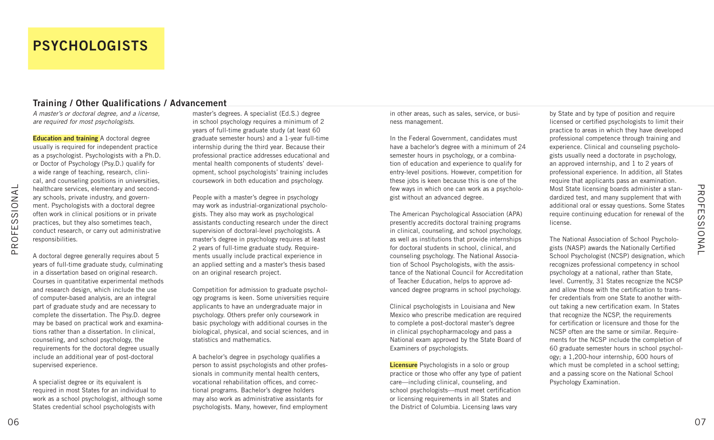#### Training / Other Qualifications / Advancement

*A master's or doctoral degree, and a license, are required for most psychologists.*

**Education and training** A doctoral degree usually is required for independent practice as a psychologist. Psychologists with a Ph.D. or Doctor of Psychology (Psy.D.) qualify for a wide range of teaching, research, clinical, and counseling positions in universities, healthcare services, elementary and secondary schools, private industry, and government. Psychologists with a doctoral degree often work in clinical positions or in private practices, but they also sometimes teach, conduct research, or carry out administrative responsibilities.

A doctoral degree generally requires about 5 years of full-time graduate study, culminating in a dissertation based on original research. Courses in quantitative experimental methods and research design, which include the use of computer-based analysis, are an integral part of graduate study and are necessary to complete the dissertation. The Psy.D. degree may be based on practical work and examinations rather than a dissertation. In clinical, counseling, and school psychology, the requirements for the doctoral degree usually include an additional year of post-doctoral supervised experience.

A specialist degree or its equivalent is required in most States for an individual to work as a school psychologist, although some States credential school psychologists with

master's degrees. A specialist (Ed.S.) degree in school psychology requires a minimum of 2 years of full-time graduate study (at least 60 graduate semester hours) and a 1-year full-time internship during the third year. Because their professional practice addresses educational and mental health components of students' development, school psychologists' training includes coursework in both education and psychology.

People with a master's degree in psychology may work as industrial-organizational psychologists. They also may work as psychological assistants conducting research under the direct supervision of doctoral-level psychologists. A master's degree in psychology requires at least 2 years of full-time graduate study. Requirements usually include practical experience in an applied setting and a master's thesis based on an original research project.

Competition for admission to graduate psychology programs is keen. Some universities require applicants to have an undergraduate major in psychology. Others prefer only coursework in basic psychology with additional courses in the biological, physical, and social sciences, and in statistics and mathematics.

A bachelor's degree in psychology qualifies a person to assist psychologists and other professionals in community mental health centers, vocational rehabilitation offices, and correctional programs. Bachelor's degree holders may also work as administrative assistants for psychologists. Many, however, find employment

in other areas, such as sales, service, or business management.

In the Federal Government, candidates must have a bachelor's degree with a minimum of 24 semester hours in psychology, or a combination of education and experience to qualify for entry-level positions. However, competition for these jobs is keen because this is one of the few ways in which one can work as a psychologist without an advanced degree.

The American Psychological Association (APA) presently accredits doctoral training programs in clinical, counseling, and school psychology, as well as institutions that provide internships for doctoral students in school, clinical, and counseling psychology. The National Association of School Psychologists, with the assistance of the National Council for Accreditation of Teacher Education, helps to approve advanced degree programs in school psychology.

Clinical psychologists in Louisiana and New Mexico who prescribe medication are required to complete a post-doctoral master's degree in clinical psychopharmacology and pass a National exam approved by the State Board of Examiners of psychologists.

**Licensure** Psychologists in a solo or group practice or those who offer any type of patient care—including clinical, counseling, and school psychologists—must meet certification or licensing requirements in all States and the District of Columbia. Licensing laws vary

by State and by type of position and require licensed or certified psychologists to limit their practice to areas in which they have developed professional competence through training and experience. Clinical and counseling psychologists usually need a doctorate in psychology, an approved internship, and 1 to 2 years of professional experience. In addition, all States require that applicants pass an examination. Most State licensing boards administer a standardized test, and many supplement that with additional oral or essay questions. Some States require continuing education for renewal of the license.

The National Association of School Psychologists (NASP) awards the Nationally Certified School Psychologist (NCSP) designation, which recognizes professional competency in school psychology at a national, rather than State, level. Currently, 31 States recognize the NCSP and allow those with the certification to transfer credentials from one State to another without taking a new certification exam. In States that recognize the NCSP, the requirements for certification or licensure and those for the NCSP often are the same or similar. Requirements for the NCSP include the completion of 60 graduate semester hours in school psychology; a 1,200-hour internship, 600 hours of which must be completed in a school setting; and a passing score on the National School Psychology Examination.

PROFESSIONAL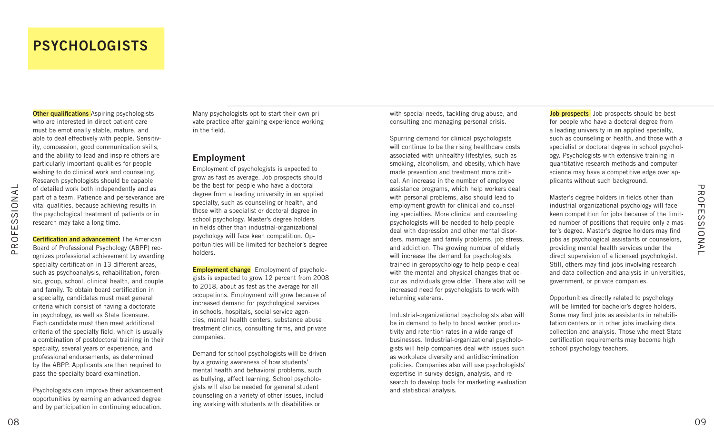**Other qualifications** Aspiring psychologists who are interested in direct patient care must be emotionally stable, mature, and able to deal effectively with people. Sensitivity, compassion, good communication skills, and the ability to lead and inspire others are particularly important qualities for people wishing to do clinical work and counseling. Research psychologists should be capable of detailed work both independently and as part of a team. Patience and perseverance are vital qualities, because achieving results in the psychological treatment of patients or in research may take a long time.

**Certification and advancement** The American Board of Professional Psychology (ABPP) recognizes professional achievement by awarding specialty certification in 13 different areas, such as psychoanalysis, rehabilitation, forensic, group, school, clinical health, and couple and family. To obtain board certification in a specialty, candidates must meet general criteria which consist of having a doctorate in psychology, as well as State licensure. Each candidate must then meet additional criteria of the specialty field, which is usually a combination of postdoctoral training in their specialty, several years of experience, and professional endorsements, as determined by the ABPP. Applicants are then required to pass the specialty board examination.

Psychologists can improve their advancement opportunities by earning an advanced degree and by participation in continuing education.

Many psychologists opt to start their own private practice after gaining experience working in the field.

#### Employment

Employment of psychologists is expected to grow as fast as average. Job prospects should be the best for people who have a doctoral degree from a leading university in an applied specialty, such as counseling or health, and those with a specialist or doctoral degree in school psychology. Master's degree holders in fields other than industrial-organizational psychology will face keen competition. Opportunities will be limited for bachelor's degree holders.

**Employment change** Employment of psychologists is expected to grow 12 percent from 2008 to 2018, about as fast as the average for all occupations. Employment will grow because of increased demand for psychological services in schools, hospitals, social service agencies, mental health centers, substance abuse treatment clinics, consulting firms, and private companies.

Demand for school psychologists will be driven by a growing awareness of how students' mental health and behavioral problems, such as bullying, affect learning. School psychologists will also be needed for general student counseling on a variety of other issues, including working with students with disabilities or

with special needs, tackling drug abuse, and consulting and managing personal crisis.

Spurring demand for clinical psychologists will continue to be the rising healthcare costs associated with unhealthy lifestyles, such as smoking, alcoholism, and obesity, which have made prevention and treatment more critical. An increase in the number of employee assistance programs, which help workers deal with personal problems, also should lead to employment growth for clinical and counseling specialties. More clinical and counseling psychologists will be needed to help people deal with depression and other mental disorders, marriage and family problems, job stress, and addiction. The growing number of elderly will increase the demand for psychologists trained in geropsychology to help people deal with the mental and physical changes that occur as individuals grow older. There also will be increased need for psychologists to work with returning veterans.

Industrial-organizational psychologists also will be in demand to help to boost worker productivity and retention rates in a wide range of businesses. Industrial-organizational psychologists will help companies deal with issues such as workplace diversity and antidiscrimination policies. Companies also will use psychologists' expertise in survey design, analysis, and research to develop tools for marketing evaluation and statistical analysis.

Job prospects Job prospects should be best for people who have a doctoral degree from a leading university in an applied specialty, such as counseling or health, and those with a specialist or doctoral degree in school psychology. Psychologists with extensive training in quantitative research methods and computer science may have a competitive edge over applicants without such background.

Master's degree holders in fields other than industrial-organizational psychology will face keen competition for jobs because of the limited number of positions that require only a master's degree. Master's degree holders may find jobs as psychological assistants or counselors, providing mental health services under the direct supervision of a licensed psychologist. Still, others may find jobs involving research and data collection and analysis in universities, government, or private companies.

Opportunities directly related to psychology will be limited for bachelor's degree holders. Some may find jobs as assistants in rehabilitation centers or in other jobs involving data collection and analysis. Those who meet State certification requirements may become high school psychology teachers.

PROFESSIONAL